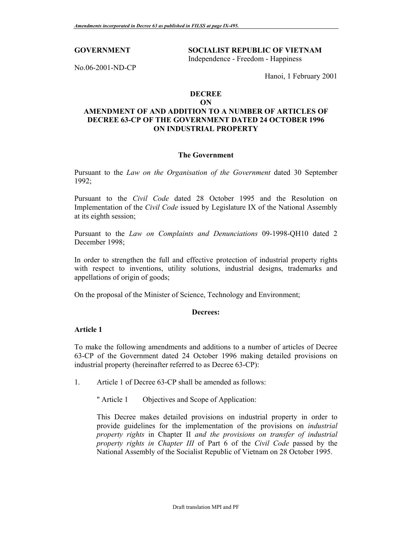## **GOVERNMENT SOCIALIST REPUBLIC OF VIETNAM**  Independence - Freedom - Happiness

No.06-2001-ND-CP

Hanoi, 1 February 2001

# **DECREE**

### **ON**

## **AMENDMENT OF AND ADDITION TO A NUMBER OF ARTICLES OF DECREE 63-CP OF THE GOVERNMENT DATED 24 OCTOBER 1996 ON INDUSTRIAL PROPERTY**

## **The Government**

Pursuant to the *Law on the Organisation of the Government* dated 30 September 1992;

Pursuant to the *Civil Code* dated 28 October 1995 and the Resolution on Implementation of the *Civil Code* issued by Legislature IX of the National Assembly at its eighth session;

Pursuant to the *Law on Complaints and Denunciations* 09-1998-QH10 dated 2 December 1998;

In order to strengthen the full and effective protection of industrial property rights with respect to inventions, utility solutions, industrial designs, trademarks and appellations of origin of goods;

On the proposal of the Minister of Science, Technology and Environment;

## **Decrees:**

## **Article 1**

To make the following amendments and additions to a number of articles of Decree 63-CP of the Government dated 24 October 1996 making detailed provisions on industrial property (hereinafter referred to as Decree 63-CP):

- 1. Article 1 of Decree 63-CP shall be amended as follows:
	- " Article 1 Objectives and Scope of Application:

This Decree makes detailed provisions on industrial property in order to provide guidelines for the implementation of the provisions on *industrial property rights* in Chapter II *and the provisions on transfer of industrial property rights in Chapter III* of Part 6 of the *Civil Code* passed by the National Assembly of the Socialist Republic of Vietnam on 28 October 1995.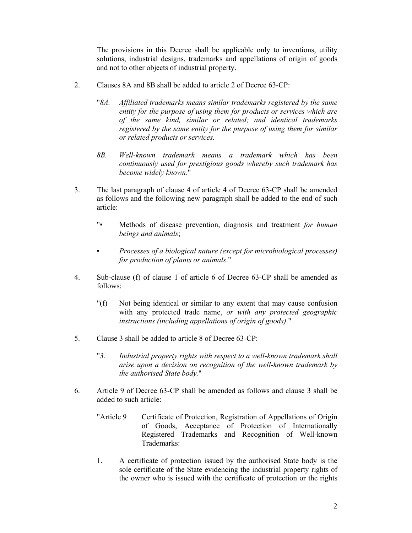The provisions in this Decree shall be applicable only to inventions, utility solutions, industrial designs, trademarks and appellations of origin of goods and not to other objects of industrial property.

- 2. Clauses 8A and 8B shall be added to article 2 of Decree 63-CP:
	- "*8A. Affiliated trademarks means similar trademarks registered by the same entity for the purpose of using them for products or services which are of the same kind, similar or related; and identical trademarks registered by the same entity for the purpose of using them for similar or related products or services.*
	- *8B. Well-known trademark means a trademark which has been continuously used for prestigious goods whereby such trademark has become widely known*."
- 3. The last paragraph of clause 4 of article 4 of Decree 63-CP shall be amended as follows and the following new paragraph shall be added to the end of such article:
	- "▪ Methods of disease prevention, diagnosis and treatment *for human beings and animals*;
	- *Processes of a biological nature (except for microbiological processes) for production of plants or animals*."
- 4. Sub-clause (f) of clause 1 of article 6 of Decree 63-CP shall be amended as follows:
	- "(f) Not being identical or similar to any extent that may cause confusion with any protected trade name, *or with any protected geographic instructions (including appellations of origin of goods)*."
- 5. Clause 3 shall be added to article 8 of Decree 63-CP:
	- "*3. Industrial property rights with respect to a well-known trademark shall arise upon a decision on recognition of the well-known trademark by the authorised State body.*"
- 6. Article 9 of Decree 63-CP shall be amended as follows and clause 3 shall be added to such article:
	- "Article 9 Certificate of Protection, Registration of Appellations of Origin of Goods, Acceptance of Protection of Internationally Registered Trademarks and Recognition of Well-known Trademarks:
	- 1. A certificate of protection issued by the authorised State body is the sole certificate of the State evidencing the industrial property rights of the owner who is issued with the certificate of protection or the rights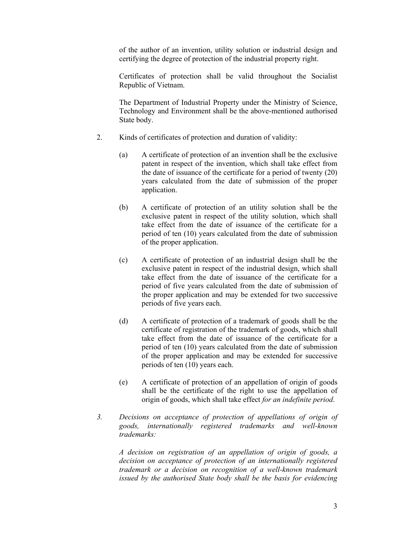of the author of an invention, utility solution or industrial design and certifying the degree of protection of the industrial property right.

Certificates of protection shall be valid throughout the Socialist Republic of Vietnam.

The Department of Industrial Property under the Ministry of Science, Technology and Environment shall be the above-mentioned authorised State body.

- 2. Kinds of certificates of protection and duration of validity:
	- (a) A certificate of protection of an invention shall be the exclusive patent in respect of the invention, which shall take effect from the date of issuance of the certificate for a period of twenty (20) years calculated from the date of submission of the proper application.
	- (b) A certificate of protection of an utility solution shall be the exclusive patent in respect of the utility solution, which shall take effect from the date of issuance of the certificate for a period of ten (10) years calculated from the date of submission of the proper application.
	- (c) A certificate of protection of an industrial design shall be the exclusive patent in respect of the industrial design, which shall take effect from the date of issuance of the certificate for a period of five years calculated from the date of submission of the proper application and may be extended for two successive periods of five years each.
	- (d) A certificate of protection of a trademark of goods shall be the certificate of registration of the trademark of goods, which shall take effect from the date of issuance of the certificate for a period of ten (10) years calculated from the date of submission of the proper application and may be extended for successive periods of ten (10) years each.
	- (e) A certificate of protection of an appellation of origin of goods shall be the certificate of the right to use the appellation of origin of goods, which shall take effect *for an indefinite period*.
- *3. Decisions on acceptance of protection of appellations of origin of goods, internationally registered trademarks and well-known trademarks:*

 *A decision on registration of an appellation of origin of goods, a decision on acceptance of protection of an internationally registered trademark or a decision on recognition of a well-known trademark issued by the authorised State body shall be the basis for evidencing*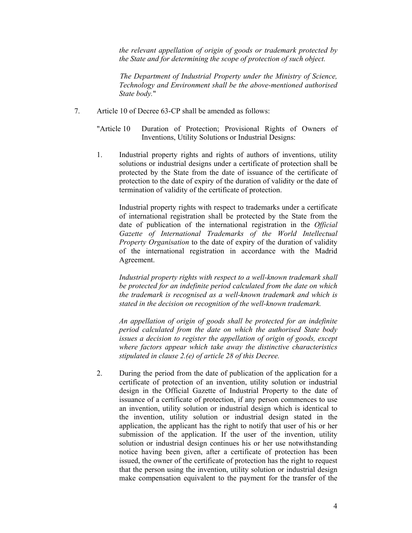*the relevant appellation of origin of goods or trademark protected by the State and for determining the scope of protection of such object.*

 *The Department of Industrial Property under the Ministry of Science, Technology and Environment shall be the above-mentioned authorised State body.*"

- 7. Article 10 of Decree 63-CP shall be amended as follows:
	- "Article 10 Duration of Protection; Provisional Rights of Owners of Inventions, Utility Solutions or Industrial Designs:
	- 1. Industrial property rights and rights of authors of inventions, utility solutions or industrial designs under a certificate of protection shall be protected by the State from the date of issuance of the certificate of protection to the date of expiry of the duration of validity or the date of termination of validity of the certificate of protection.

Industrial property rights with respect to trademarks under a certificate of international registration shall be protected by the State from the date of publication of the international registration in the *Official Gazette of International Trademarks of the World Intellectual Property Organisation* to the date of expiry of the duration of validity of the international registration in accordance with the Madrid Agreement.

*Industrial property rights with respect to a well-known trademark shall be protected for an indefinite period calculated from the date on which the trademark is recognised as a well-known trademark and which is stated in the decision on recognition of the well-known trademark.* 

*An appellation of origin of goods shall be protected for an indefinite period calculated from the date on which the authorised State body issues a decision to register the appellation of origin of goods, except where factors appear which take away the distinctive characteristics stipulated in clause 2.(e) of article 28 of this Decree.* 

2. During the period from the date of publication of the application for a certificate of protection of an invention, utility solution or industrial design in the Official Gazette of Industrial Property to the date of issuance of a certificate of protection, if any person commences to use an invention, utility solution or industrial design which is identical to the invention, utility solution or industrial design stated in the application, the applicant has the right to notify that user of his or her submission of the application. If the user of the invention, utility solution or industrial design continues his or her use notwithstanding notice having been given, after a certificate of protection has been issued, the owner of the certificate of protection has the right to request that the person using the invention, utility solution or industrial design make compensation equivalent to the payment for the transfer of the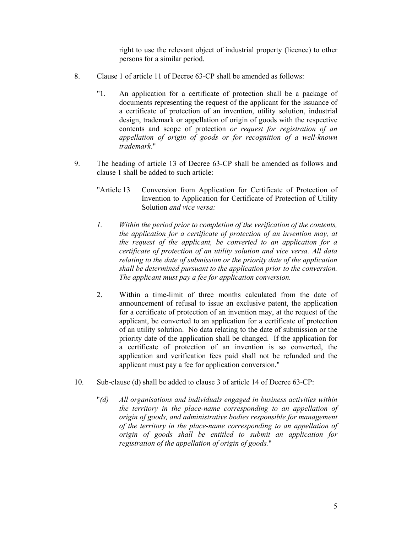right to use the relevant object of industrial property (licence) to other persons for a similar period.

- 8. Clause 1 of article 11 of Decree 63-CP shall be amended as follows:
	- "1. An application for a certificate of protection shall be a package of documents representing the request of the applicant for the issuance of a certificate of protection of an invention, utility solution, industrial design, trademark or appellation of origin of goods with the respective contents and scope of protection *or request for registration of an appellation of origin of goods or for recognition of a well-known trademark*."
- 9. The heading of article 13 of Decree 63-CP shall be amended as follows and clause 1 shall be added to such article:
	- "Article 13 Conversion from Application for Certificate of Protection of Invention to Application for Certificate of Protection of Utility Solution *and vice versa:*
	- *1. Within the period prior to completion of the verification of the contents, the application for a certificate of protection of an invention may, at the request of the applicant, be converted to an application for a certificate of protection of an utility solution and vice versa. All data relating to the date of submission or the priority date of the application shall be determined pursuant to the application prior to the conversion. The applicant must pay a fee for application conversion.*
	- 2. Within a time-limit of three months calculated from the date of announcement of refusal to issue an exclusive patent, the application for a certificate of protection of an invention may, at the request of the applicant, be converted to an application for a certificate of protection of an utility solution. No data relating to the date of submission or the priority date of the application shall be changed. If the application for a certificate of protection of an invention is so converted, the application and verification fees paid shall not be refunded and the applicant must pay a fee for application conversion."
- 10. Sub-clause (d) shall be added to clause 3 of article 14 of Decree 63-CP:
	- "*(d) All organisations and individuals engaged in business activities within the territory in the place-name corresponding to an appellation of origin of goods, and administrative bodies responsible for management of the territory in the place-name corresponding to an appellation of origin of goods shall be entitled to submit an application for registration of the appellation of origin of goods.*"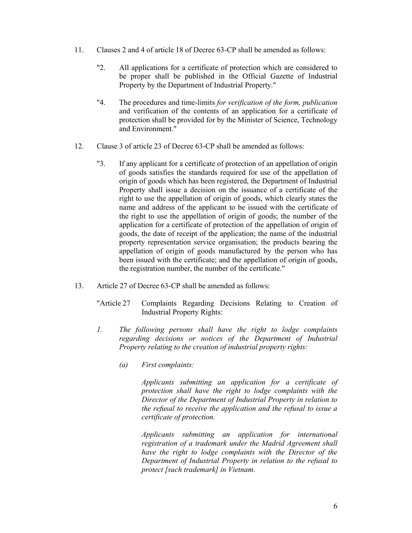- 11. Clauses 2 and 4 of article 18 of Decree 63-CP shall be amended as follows:
	- "2. All applications for a certificate of protection which are considered to be proper shall be published in the Official Gazette of Industrial Property by the Department of Industrial Property."
	- "4. The procedures and time-limits *for verification of the form, publication*  and verification of the contents of an application for a certificate of protection shall be provided for by the Minister of Science, Technology and Environment."
- 12. Clause 3 of article 23 of Decree 63-CP shall be amended as follows:
	- "3. If any applicant for a certificate of protection of an appellation of origin of goods satisfies the standards required for use of the appellation of origin of goods which has been registered, the Department of Industrial Property shall issue a decision on the issuance of a certificate of the right to use the appellation of origin of goods, which clearly states the name and address of the applicant to be issued with the certificate of the right to use the appellation of origin of goods; the number of the application for a certificate of protection of the appellation of origin of goods, the date of receipt of the application; the name of the industrial property representation service organisation; the products bearing the appellation of origin of goods manufactured by the person who has been issued with the certificate; and the appellation of origin of goods, the registration number, the number of the certificate."
- 13. Article 27 of Decree 63-CP shall be amended as follows:
	- "Article 27 Complaints Regarding Decisions Relating to Creation of Industrial Property Rights:
	- *1. The following persons shall have the right to lodge complaints regarding decisions or notices of the Department of Industrial Property relating to the creation of industrial property rights:* 
		- *(a) First complaints:*

 *Applicants submitting an application for a certificate of protection shall have the right to lodge complaints with the Director of the Department of Industrial Property in relation to the refusal to receive the application and the refusal to issue a certificate of protection.* 

 *Applicants submitting an application for international registration of a trademark under the Madrid Agreement shall have the right to lodge complaints with the Director of the Department of Industrial Property in relation to the refusal to protect [such trademark] in Vietnam.*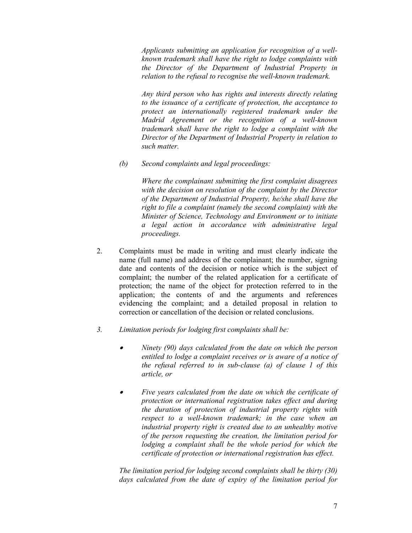*Applicants submitting an application for recognition of a wellknown trademark shall have the right to lodge complaints with the Director of the Department of Industrial Property in relation to the refusal to recognise the well-known trademark.* 

 *Any third person who has rights and interests directly relating to the issuance of a certificate of protection, the acceptance to protect an internationally registered trademark under the Madrid Agreement or the recognition of a well-known trademark shall have the right to lodge a complaint with the Director of the Department of Industrial Property in relation to such matter.* 

*(b) Second complaints and legal proceedings:* 

 *Where the complainant submitting the first complaint disagrees with the decision on resolution of the complaint by the Director of the Department of Industrial Property, he/she shall have the right to file a complaint (namely the second complaint) with the Minister of Science, Technology and Environment or to initiate a legal action in accordance with administrative legal proceedings.*

- 2. Complaints must be made in writing and must clearly indicate the name (full name) and address of the complainant; the number, signing date and contents of the decision or notice which is the subject of complaint; the number of the related application for a certificate of protection; the name of the object for protection referred to in the application; the contents of and the arguments and references evidencing the complaint; and a detailed proposal in relation to correction or cancellation of the decision or related conclusions.
- *3. Limitation periods for lodging first complaints shall be:* 
	- • *Ninety (90) days calculated from the date on which the person entitled to lodge a complaint receives or is aware of a notice of the refusal referred to in sub-clause (a) of clause 1 of this article, or*
	- • *Five years calculated from the date on which the certificate of protection or international registration takes effect and during the duration of protection of industrial property rights with respect to a well-known trademark; in the case when an industrial property right is created due to an unhealthy motive of the person requesting the creation, the limitation period for lodging a complaint shall be the whole period for which the certificate of protection or international registration has effect.*

*The limitation period for lodging second complaints shall be thirty (30) days calculated from the date of expiry of the limitation period for*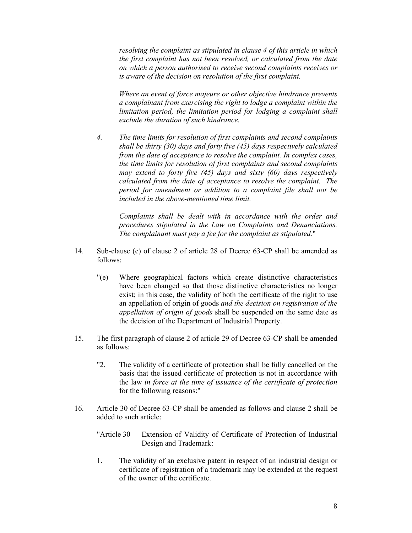*resolving the complaint as stipulated in clause 4 of this article in which the first complaint has not been resolved, or calculated from the date on which a person authorised to receive second complaints receives or is aware of the decision on resolution of the first complaint.* 

*Where an event of force majeure or other objective hindrance prevents a complainant from exercising the right to lodge a complaint within the limitation period, the limitation period for lodging a complaint shall exclude the duration of such hindrance.* 

*4. The time limits for resolution of first complaints and second complaints shall be thirty (30) days and forty five (45) days respectively calculated from the date of acceptance to resolve the complaint. In complex cases, the time limits for resolution of first complaints and second complaints may extend to forty five (45) days and sixty (60) days respectively calculated from the date of acceptance to resolve the complaint. The period for amendment or addition to a complaint file shall not be included in the above-mentioned time limit.* 

 *Complaints shall be dealt with in accordance with the order and procedures stipulated in the Law on Complaints and Denunciations. The complainant must pay a fee for the complaint as stipulated.*"

- 14. Sub-clause (e) of clause 2 of article 28 of Decree 63-CP shall be amended as follows:
	- "(e) Where geographical factors which create distinctive characteristics have been changed so that those distinctive characteristics no longer exist; in this case, the validity of both the certificate of the right to use an appellation of origin of goods *and the decision on registration of the appellation of origin of goods* shall be suspended on the same date as the decision of the Department of Industrial Property.
- 15. The first paragraph of clause 2 of article 29 of Decree 63-CP shall be amended as follows:
	- "2. The validity of a certificate of protection shall be fully cancelled on the basis that the issued certificate of protection is not in accordance with the law *in force at the time of issuance of the certificate of protection* for the following reasons:"
- 16. Article 30 of Decree 63-CP shall be amended as follows and clause 2 shall be added to such article:
	- "Article 30 Extension of Validity of Certificate of Protection of Industrial Design and Trademark:
	- 1. The validity of an exclusive patent in respect of an industrial design or certificate of registration of a trademark may be extended at the request of the owner of the certificate.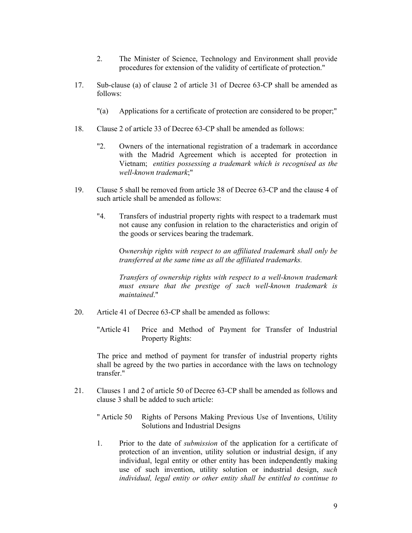- 2. The Minister of Science, Technology and Environment shall provide procedures for extension of the validity of certificate of protection."
- 17. Sub-clause (a) of clause 2 of article 31 of Decree 63-CP shall be amended as follows:
	- "(a) Applications for a certificate of protection are considered to be proper;"
- 18. Clause 2 of article 33 of Decree 63-CP shall be amended as follows:
	- "2. Owners of the international registration of a trademark in accordance with the Madrid Agreement which is accepted for protection in Vietnam; *entities possessing a trademark which is recognised as the well-known trademark*;"
- 19. Clause 5 shall be removed from article 38 of Decree 63-CP and the clause 4 of such article shall be amended as follows:
	- "4. Transfers of industrial property rights with respect to a trademark must not cause any confusion in relation to the characteristics and origin of the goods or services bearing the trademark.

 O*wnership rights with respect to an affiliated trademark shall only be transferred at the same time as all the affiliated trademarks.* 

 *Transfers of ownership rights with respect to a well-known trademark must ensure that the prestige of such well-known trademark is maintained*."

- 20. Article 41 of Decree 63-CP shall be amended as follows:
	- "Article 41 Price and Method of Payment for Transfer of Industrial Property Rights:

 The price and method of payment for transfer of industrial property rights shall be agreed by the two parties in accordance with the laws on technology transfer."

- 21. Clauses 1 and 2 of article 50 of Decree 63-CP shall be amended as follows and clause 3 shall be added to such article:
	- " Article 50 Rights of Persons Making Previous Use of Inventions, Utility Solutions and Industrial Designs
	- 1. Prior to the date of *submission* of the application for a certificate of protection of an invention, utility solution or industrial design, if any individual, legal entity or other entity has been independently making use of such invention, utility solution or industrial design, *such individual, legal entity or other entity shall be entitled to continue to*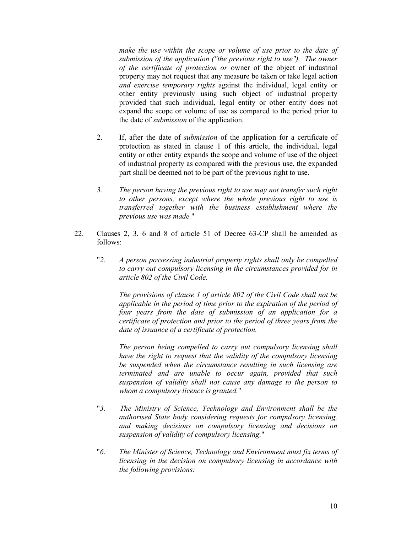*make the use within the scope or volume of use prior to the date of submission of the application ("the previous right to use"). The owner of the certificate of protection or* owner of the object of industrial property may not request that any measure be taken or take legal action *and exercise temporary rights* against the individual, legal entity or other entity previously using such object of industrial property provided that such individual, legal entity or other entity does not expand the scope or volume of use as compared to the period prior to the date of *submission* of the application.

- 2. If, after the date of *submission* of the application for a certificate of protection as stated in clause 1 of this article, the individual, legal entity or other entity expands the scope and volume of use of the object of industrial property as compared with the previous use, the expanded part shall be deemed not to be part of the previous right to use.
- *3. The person having the previous right to use may not transfer such right to other persons, except where the whole previous right to use is transferred together with the business establishment where the previous use was made.*"
- 22. Clauses 2, 3, 6 and 8 of article 51 of Decree 63-CP shall be amended as follows:
	- "*2. A person possessing industrial property rights shall only be compelled to carry out compulsory licensing in the circumstances provided for in article 802 of the Civil Code.*

 *The provisions of clause 1 of article 802 of the Civil Code shall not be applicable in the period of time prior to the expiration of the period of four years from the date of submission of an application for a certificate of protection and prior to the period of three years from the date of issuance of a certificate of protection.* 

 *The person being compelled to carry out compulsory licensing shall have the right to request that the validity of the compulsory licensing be suspended when the circumstance resulting in such licensing are terminated and are unable to occur again, provided that such suspension of validity shall not cause any damage to the person to whom a compulsory licence is granted.*"

- "*3. The Ministry of Science, Technology and Environment shall be the authorised State body considering requests for compulsory licensing, and making decisions on compulsory licensing and decisions on suspension of validity of compulsory licensing.*"
- "*6. The Minister of Science, Technology and Environment must fix terms of licensing in the decision on compulsory licensing in accordance with the following provisions:*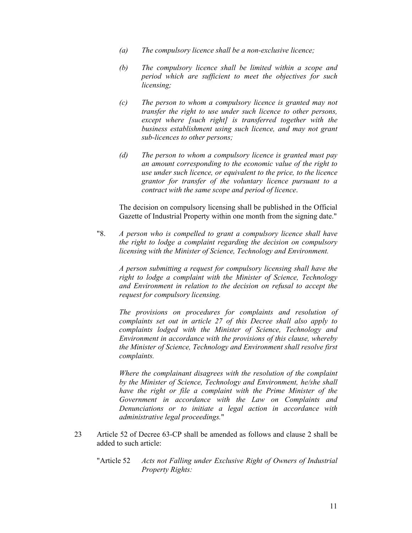- *(a) The compulsory licence shall be a non-exclusive licence;*
- *(b) The compulsory licence shall be limited within a scope and period which are sufficient to meet the objectives for such licensing;*
- *(c) The person to whom a compulsory licence is granted may not transfer the right to use under such licence to other persons, except where [such right] is transferred together with the business establishment using such licence, and may not grant sub-licences to other persons;*
- *(d) The person to whom a compulsory licence is granted must pay an amount corresponding to the economic value of the right to use under such licence, or equivalent to the price, to the licence grantor for transfer of the voluntary licence pursuant to a contract with the same scope and period of licence*.

The decision on compulsory licensing shall be published in the Official Gazette of Industrial Property within one month from the signing date."

"8. *A person who is compelled to grant a compulsory licence shall have the right to lodge a complaint regarding the decision on compulsory licensing with the Minister of Science, Technology and Environment.* 

 *A person submitting a request for compulsory licensing shall have the right to lodge a complaint with the Minister of Science, Technology and Environment in relation to the decision on refusal to accept the request for compulsory licensing.* 

 *The provisions on procedures for complaints and resolution of complaints set out in article 27 of this Decree shall also apply to complaints lodged with the Minister of Science, Technology and Environment in accordance with the provisions of this clause, whereby the Minister of Science, Technology and Environment shall resolve first complaints.* 

*Where the complainant disagrees with the resolution of the complaint by the Minister of Science, Technology and Environment, he/she shall have the right or file a complaint with the Prime Minister of the Government in accordance with the Law on Complaints and Denunciations or to initiate a legal action in accordance with administrative legal proceedings.*"

- 23 Article 52 of Decree 63-CP shall be amended as follows and clause 2 shall be added to such article:
	- "Article 52 *Acts not Falling under Exclusive Right of Owners of Industrial Property Rights:*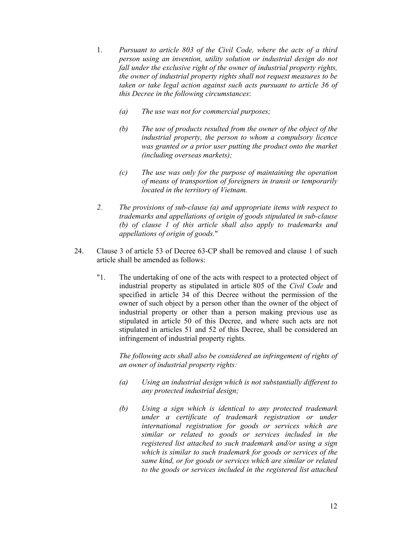- 1. *Pursuant to article 803 of the Civil Code, where the acts of a third person using an invention, utility solution or industrial design do not fall under the exclusive right of the owner of industrial property rights, the owner of industrial property rights shall not request measures to be taken or take legal action against such acts pursuant to article 36 of this Decree in the following circumstances*:
	- *(a) The use was not for commercial purposes;*
	- *(b) The use of products resulted from the owner of the object of the industrial property, the person to whom a compulsory licence was granted or a prior user putting the product onto the market (including overseas markets);*
	- *(c) The use was only for the purpose of maintaining the operation of means of transportion of foreigners in transit or temporarily located in the territory of Vietnam.*
- *2. The provisions of sub-clause (a) and appropriate items with respect to trademarks and appellations of origin of goods stipulated in sub-clause (b) of clause 1 of this article shall also apply to trademarks and appellations of origin of goods.*"
- 24. Clause 3 of article 53 of Decree 63-CP shall be removed and clause 1 of such article shall be amended as follows:
	- "1. The undertaking of one of the acts with respect to a protected object of industrial property as stipulated in article 805 of the *Civil Code* and specified in article 34 of this Decree without the permission of the owner of such object by a person other than the owner of the object of industrial property or other than a person making previous use as stipulated in article 50 of this Decree, and where such acts are not stipulated in articles 51 and 52 of this Decree, shall be considered an infringement of industrial property rights.

*The following acts shall also be considered an infringement of rights of an owner of industrial property rights:* 

- *(a) Using an industrial design which is not substantially different to any protected industrial design;*
- *(b) Using a sign which is identical to any protected trademark under a certificate of trademark registration or under international registration for goods or services which are similar or related to goods or services included in the registered list attached to such trademark and/or using a sign which is similar to such trademark for goods or services of the same kind, or for goods or services which are similar or related to the goods or services included in the registered list attached*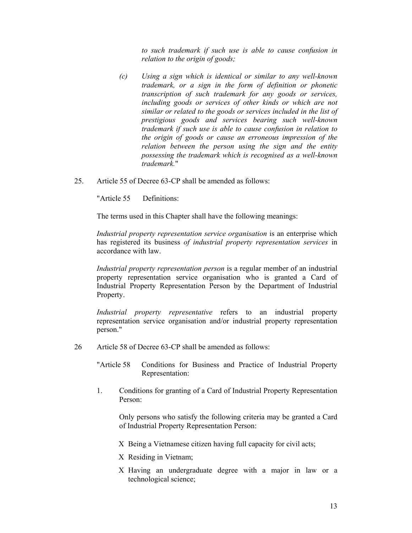*to such trademark if such use is able to cause confusion in relation to the origin of goods;* 

- *(c) Using a sign which is identical or similar to any well-known trademark, or a sign in the form of definition or phonetic transcription of such trademark for any goods or services, including goods or services of other kinds or which are not similar or related to the goods or services included in the list of prestigious goods and services bearing such well-known trademark if such use is able to cause confusion in relation to the origin of goods or cause an erroneous impression of the relation between the person using the sign and the entity possessing the trademark which is recognised as a well-known trademark.*"
- 25. Article 55 of Decree 63-CP shall be amended as follows:

"Article 55 Definitions:

The terms used in this Chapter shall have the following meanings:

*Industrial property representation service organisation* is an enterprise which has registered its business *of industrial property representation services* in accordance with law.

*Industrial property representation person* is a regular member of an industrial property representation service organisation who is granted a Card of Industrial Property Representation Person by the Department of Industrial Property.

*Industrial property representative* refers to an industrial property representation service organisation and/or industrial property representation person."

26 Article 58 of Decree 63-CP shall be amended as follows:

"Article 58 Conditions for Business and Practice of Industrial Property Representation:

1. Conditions for granting of a Card of Industrial Property Representation Person:

Only persons who satisfy the following criteria may be granted a Card of Industrial Property Representation Person:

- Χ Being a Vietnamese citizen having full capacity for civil acts;
- Χ Residing in Vietnam;
- Χ Having an undergraduate degree with a major in law or a technological science;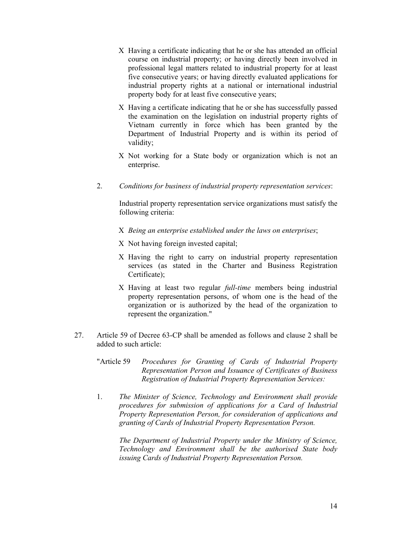- Χ Having a certificate indicating that he or she has attended an official course on industrial property; or having directly been involved in professional legal matters related to industrial property for at least five consecutive years; or having directly evaluated applications for industrial property rights at a national or international industrial property body for at least five consecutive years;
- Χ Having a certificate indicating that he or she has successfully passed the examination on the legislation on industrial property rights of Vietnam currently in force which has been granted by the Department of Industrial Property and is within its period of validity;
- Χ Not working for a State body or organization which is not an enterprise.
- 2. *Conditions for business of industrial property representation services*:

Industrial property representation service organizations must satisfy the following criteria:

- Χ *Being an enterprise established under the laws on enterprises*;
- Χ Not having foreign invested capital;
- Χ Having the right to carry on industrial property representation services (as stated in the Charter and Business Registration Certificate);
- Χ Having at least two regular *full-time* members being industrial property representation persons, of whom one is the head of the organization or is authorized by the head of the organization to represent the organization."
- 27. Article 59 of Decree 63-CP shall be amended as follows and clause 2 shall be added to such article:
	- "Article 59 *Procedures for Granting of Cards of Industrial Property Representation Person and Issuance of Certificates of Business Registration of Industrial Property Representation Services:*
	- 1. *The Minister of Science, Technology and Environment shall provide procedures for submission of applications for a Card of Industrial Property Representation Person, for consideration of applications and granting of Cards of Industrial Property Representation Person.*

*The Department of Industrial Property under the Ministry of Science, Technology and Environment shall be the authorised State body issuing Cards of Industrial Property Representation Person.*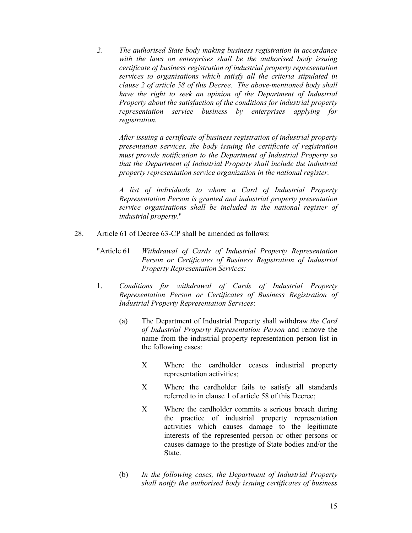*2. The authorised State body making business registration in accordance with the laws on enterprises shall be the authorised body issuing certificate of business registration of industrial property representation services to organisations which satisfy all the criteria stipulated in clause 2 of article 58 of this Decree. The above-mentioned body shall*  have the right to seek an opinion of the Department of Industrial *Property about the satisfaction of the conditions for industrial property representation service business by enterprises applying for registration.* 

 *After issuing a certificate of business registration of industrial property presentation services, the body issuing the certificate of registration must provide notification to the Department of Industrial Property so that the Department of Industrial Property shall include the industrial property representation service organization in the national register.* 

 *A list of individuals to whom a Card of Industrial Property Representation Person is granted and industrial property presentation service organisations shall be included in the national register of industrial property*."

- 28. Article 61 of Decree 63-CP shall be amended as follows:
	- "Article 61 *Withdrawal of Cards of Industrial Property Representation Person or Certificates of Business Registration of Industrial Property Representation Services:*
	- 1. *Conditions for withdrawal of Cards of Industrial Property Representation Person or Certificates of Business Registration of Industrial Property Representation Services*:
		- (a) The Department of Industrial Property shall withdraw *the Card of Industrial Property Representation Person* and remove the name from the industrial property representation person list in the following cases:
			- Χ Where the cardholder ceases industrial property representation activities;
			- Χ Where the cardholder fails to satisfy all standards referred to in clause 1 of article 58 of this Decree;
			- Χ Where the cardholder commits a serious breach during the practice of industrial property representation activities which causes damage to the legitimate interests of the represented person or other persons or causes damage to the prestige of State bodies and/or the State.
		- (b) *In the following cases, the Department of Industrial Property shall notify the authorised body issuing certificates of business*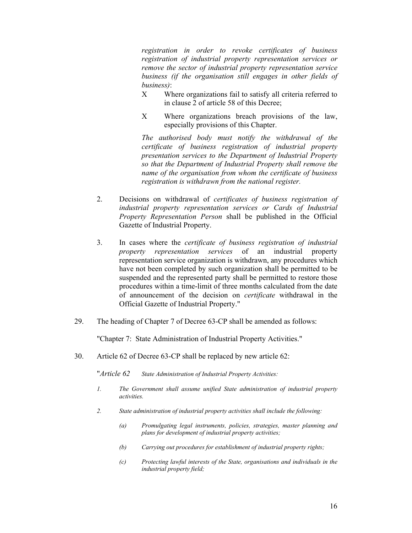*registration in order to revoke certificates of business registration of industrial property representation services or remove the sector of industrial property representation service business (if the organisation still engages in other fields of business)*:

- Χ Where organizations fail to satisfy all criteria referred to in clause 2 of article 58 of this Decree;
- Χ Where organizations breach provisions of the law, especially provisions of this Chapter.

*The authorised body must notify the withdrawal of the certificate of business registration of industrial property presentation services to the Department of Industrial Property so that the Department of Industrial Property shall remove the name of the organisation from whom the certificate of business registration is withdrawn from the national register.* 

- 2. Decisions on withdrawal of *certificates of business registration of industrial property representation services or Cards of Industrial Property Representation Person* shall be published in the Official Gazette of Industrial Property.
- 3. In cases where the *certificate of business registration of industrial property representation services* of an industrial property representation service organization is withdrawn, any procedures which have not been completed by such organization shall be permitted to be suspended and the represented party shall be permitted to restore those procedures within a time-limit of three months calculated from the date of announcement of the decision on *certificate* withdrawal in the Official Gazette of Industrial Property."
- 29. The heading of Chapter 7 of Decree 63-CP shall be amended as follows:

"Chapter 7: State Administration of Industrial Property Activities."

30. Article 62 of Decree 63-CP shall be replaced by new article 62:

"*Article 62 State Administration of Industrial Property Activities:* 

- *1. The Government shall assume unified State administration of industrial property activities.*
- *2. State administration of industrial property activities shall include the following:* 
	- *(a) Promulgating legal instruments, policies, strategies, master planning and plans for development of industrial property activities;*
	- *(b) Carrying out procedures for establishment of industrial property rights;*
	- *(c) Protecting lawful interests of the State, organisations and individuals in the industrial property field;*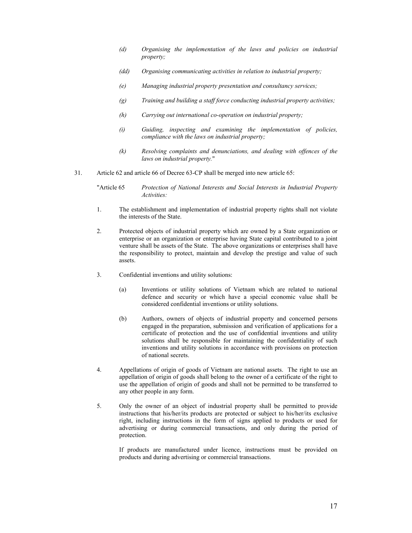- *(d) Organising the implementation of the laws and policies on industrial property;*
- *(dd) Organising communicating activities in relation to industrial property;*
- *(e) Managing industrial property presentation and consultancy services;*
- *(g) Training and building a staff force conducting industrial property activities;*
- *(h) Carrying out international co-operation on industrial property;*
- *(i) Guiding, inspecting and examining the implementation of policies, compliance with the laws on industrial property;*
- *(k) Resolving complaints and denunciations, and dealing with offences of the laws on industrial property.*"
- 31. Article 62 and article 66 of Decree 63-CP shall be merged into new article 65:

"Article 65 *Protection of National Interests and Social Interests in Industrial Property Activities:*

- 1. The establishment and implementation of industrial property rights shall not violate the interests of the State.
- 2. Protected objects of industrial property which are owned by a State organization or enterprise or an organization or enterprise having State capital contributed to a joint venture shall be assets of the State. The above organizations or enterprises shall have the responsibility to protect, maintain and develop the prestige and value of such assets.
- 3. Confidential inventions and utility solutions:
	- (a) Inventions or utility solutions of Vietnam which are related to national defence and security or which have a special economic value shall be considered confidential inventions or utility solutions.
	- (b) Authors, owners of objects of industrial property and concerned persons engaged in the preparation, submission and verification of applications for a certificate of protection and the use of confidential inventions and utility solutions shall be responsible for maintaining the confidentiality of such inventions and utility solutions in accordance with provisions on protection of national secrets.
- 4. Appellations of origin of goods of Vietnam are national assets. The right to use an appellation of origin of goods shall belong to the owner of a certificate of the right to use the appellation of origin of goods and shall not be permitted to be transferred to any other people in any form.
- 5. Only the owner of an object of industrial property shall be permitted to provide instructions that his/her/its products are protected or subject to his/her/its exclusive right, including instructions in the form of signs applied to products or used for advertising or during commercial transactions, and only during the period of protection.

If products are manufactured under licence, instructions must be provided on products and during advertising or commercial transactions.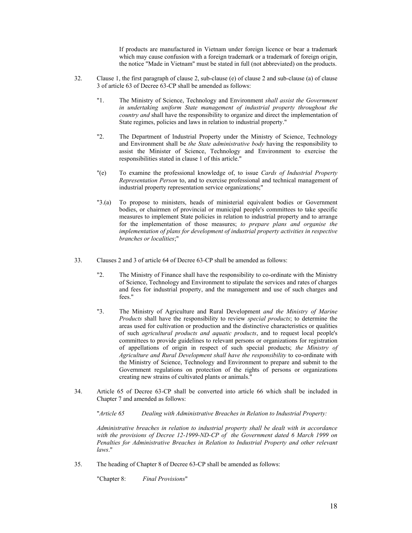If products are manufactured in Vietnam under foreign licence or bear a trademark which may cause confusion with a foreign trademark or a trademark of foreign origin, the notice "Made in Vietnam" must be stated in full (not abbreviated) on the products.

- 32. Clause 1, the first paragraph of clause 2, sub-clause (e) of clause 2 and sub-clause (a) of clause 3 of article 63 of Decree 63-CP shall be amended as follows:
	- "1. The Ministry of Science, Technology and Environment *shall assist the Government in undertaking uniform State management of industrial property throughout the country and* shall have the responsibility to organize and direct the implementation of State regimes, policies and laws in relation to industrial property."
	- "2. The Department of Industrial Property under the Ministry of Science, Technology and Environment shall be *the State administrative body* having the responsibility to assist the Minister of Science, Technology and Environment to exercise the responsibilities stated in clause 1 of this article."
	- "(e) To examine the professional knowledge of, to issue *Cards of Industrial Property Representation Person* to, and to exercise professional and technical management of industrial property representation service organizations;"
	- "3.(a) To propose to ministers, heads of ministerial equivalent bodies or Government bodies, or chairmen of provincial or municipal people's committees to take specific measures to implement State policies in relation to industrial property and to arrange for the implementation of those measures; *to prepare plans and organise the implementation of plans for development of industrial property activities in respective branches or localities*;"
- 33. Clauses 2 and 3 of article 64 of Decree 63-CP shall be amended as follows:
	- "2. The Ministry of Finance shall have the responsibility to co-ordinate with the Ministry of Science, Technology and Environment to stipulate the services and rates of charges and fees for industrial property, and the management and use of such charges and fees."
	- "3. The Ministry of Agriculture and Rural Development *and the Ministry of Marine Products* shall have the responsibility to review *special products*; to determine the areas used for cultivation or production and the distinctive characteristics or qualities of such *agricultural products and aquatic products*, and to request local people's committees to provide guidelines to relevant persons or organizations for registration of appellations of origin in respect of such special products; *the Ministry of Agriculture and Rural Development shall have the responsibility* to co-ordinate with the Ministry of Science, Technology and Environment to prepare and submit to the Government regulations on protection of the rights of persons or organizations creating new strains of cultivated plants or animals."
- 34. Article 65 of Decree 63-CP shall be converted into article 66 which shall be included in Chapter 7 and amended as follows:

"*Article 65 Dealing with Administrative Breaches in Relation to Industrial Property:* 

*Administrative breaches in relation to industrial property shall be dealt with in accordance with the provisions of Decree 12-1999-ND-CP of the Government dated 6 March 1999 on Penalties for Administrative Breaches in Relation to Industrial Property and other relevant laws*."

35. The heading of Chapter 8 of Decree 63-CP shall be amended as follows:

"Chapter 8: *Final Provisions*"